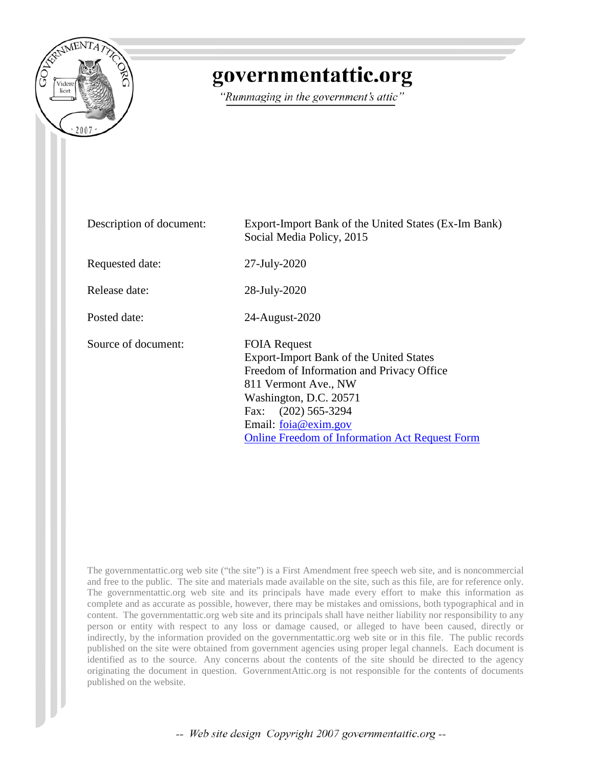

# governmentattic.org

"Rummaging in the government's attic"

| Description of document: | Export-Import Bank of the United States (Ex-Im Bank)<br>Social Media Policy, 2015                                                                                                                                                                                          |
|--------------------------|----------------------------------------------------------------------------------------------------------------------------------------------------------------------------------------------------------------------------------------------------------------------------|
| Requested date:          | 27-July-2020                                                                                                                                                                                                                                                               |
| Release date:            | 28-July-2020                                                                                                                                                                                                                                                               |
| Posted date:             | 24-August-2020                                                                                                                                                                                                                                                             |
| Source of document:      | <b>FOIA Request</b><br>Export-Import Bank of the United States<br>Freedom of Information and Privacy Office<br>811 Vermont Ave., NW<br>Washington, D.C. 20571<br>$(202)$ 565-3294<br>Fax:<br>Email: foia@exim.gov<br><b>Online Freedom of Information Act Request Form</b> |

The governmentattic.org web site ("the site") is a First Amendment free speech web site, and is noncommercial and free to the public. The site and materials made available on the site, such as this file, are for reference only. The governmentattic.org web site and its principals have made every effort to make this information as complete and as accurate as possible, however, there may be mistakes and omissions, both typographical and in content. The governmentattic.org web site and its principals shall have neither liability nor responsibility to any person or entity with respect to any loss or damage caused, or alleged to have been caused, directly or indirectly, by the information provided on the governmentattic.org web site or in this file. The public records published on the site were obtained from government agencies using proper legal channels. Each document is identified as to the source. Any concerns about the contents of the site should be directed to the agency originating the document in question. GovernmentAttic.org is not responsible for the contents of documents published on the website.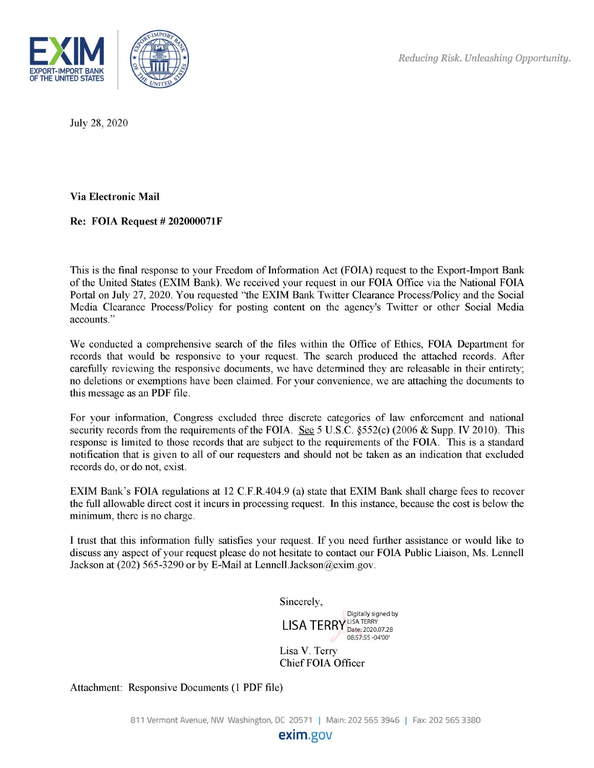

July 28, 2020

**Via Electronic Mail** 

**Re: FOIA Request # 202000071F** 

This is the final response to your Freedom of Information Act (FOIA) request to the Export-Import Bank of the United States (EXIM Bank). We received your request in our FOIA Office via the National FOIA Portal on July 27, 2020. You requested "the EXIM Bank Twitter Clearance Process/Policy and the Social Media Clearance Process/Policy for posting content on the agency's Twitter or other Social Media accounts."

We conducted a comprehensive search of the files within the Office of Ethics, FOIA Department for records that would be responsive to your request. The search produced the attached records. After carefully reviewing the responsive documents, we have determined they are releasable in their entirety; no deletions or exemptions have been claimed. For your convenience, we are attaching the documents to this message as an PDF file.

For your information, Congress excluded three discrete categories of law enforcement and national security records from the requirements of the FOIA. See 5 U.S.C. §552(c) (2006 & Supp. IV 2010). This response is limited to those records that are subject to the requirements of the FOIA. This is a standard notification that is given to all of our requesters and should not be taken as an indication that excluded records do, or do not, exist.

EXIM Bank's FOIA regulations at 12 C.F.R.404.9 (a) state that EXIM Bank shall charge fees to recover the full allowable direct cost it incurs in processing request. In this instance, because the cost is below the minimum, there is no charge.

I trust that this information fully satisfies your request. If you need further assistance or would like to discuss any aspect of your request please do not hesitate to contact our FOIA Public Liaison, Ms. Lennell Jackson at (202) 565-3290 or by E-Mail at Lennell.Jackson@exim.gov.

Sincerely,

Digitally signed by  $LISA~TERY^{LISA~TERY}_{Date:~2020.07.28}_{08:57:55-04'00'}$ 

Lisa V. Terry Chief FOIA Officer

Attachment: Responsive Documents (1 PDF file)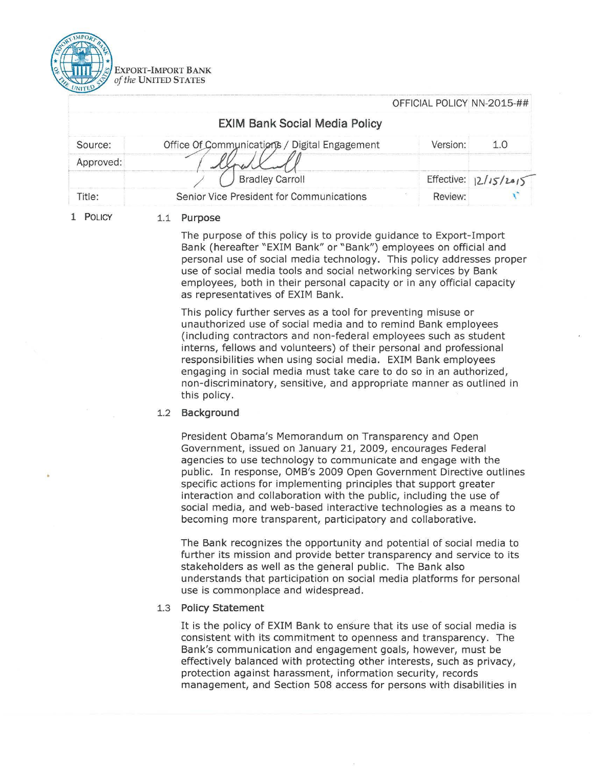

|           |                                               | OFFICIAL POLICY NN-2015-## |                          |
|-----------|-----------------------------------------------|----------------------------|--------------------------|
|           | <b>EXIM Bank Social Media Policy</b>          |                            |                          |
| Source:   | Office Of Communications / Digital Engagement | Version:                   | 1.O                      |
| Approved: |                                               |                            |                          |
|           | <b>Bradley Carroll</b>                        |                            | Effective: $ 2/15/2015 $ |
| Title:    | Senior Vice President for Communications      | Review:                    |                          |

**1 POLICY** 

#### 1.1 **Purpose**

The purpose of this policy is to provide guidance to Export-Import Bank (hereafter "EXIM Bank" or "Bank") employees on official and personal use of social media technology. This policy addresses proper use of social media tools and social networking services by Bank employees, both in their personal capacity or in any official capacity as representatives of EXIM Bank.

 $\overline{a}$  =  $\overline{a}$  (  $\overline{b}$  =  $\overline{a}$  +  $\overline{a}$  +  $\overline{a}$  +  $\overline{a}$  +  $\overline{a}$  +  $\overline{a}$  +  $\overline{a}$  +  $\overline{a}$  +  $\overline{a}$  +  $\overline{a}$  +  $\overline{a}$  +  $\overline{a}$  +  $\overline{a}$  +  $\overline{a}$  +  $\overline{a}$  +  $\overline{a}$  +  $\overline{a}$  +

This policy further serves as a tool for preventing misuse or unauthorized use of social media and to remind Bank employees (including contractors and non-federal employees such as student interns, fellows and volunteers) of their personal and professional responsibilities when using social media. EXIM Bank employees engaging in social media must take care to do so in an authorized, non-discriminatory, sensitive, and appropriate manner as outlined in this policy.

#### 1.2 **Background**

President Obama's Memorandum on Transparency and Open Government, issued on January 21, 2009, encourages Federal agencies to use technology to communicate and engage with the public. In response, OMB's 2009 Open Government Directive outlines specific actions for implementing principles that support greater interaction and collaboration with the public, including the use of social media, and web-based interactive technologies as a means to becoming more transparent, participatory and collaborative.

The Bank recognizes the opportunity and potential of social media to further its mission and provide better transparency and service to its stakeholders as well as the general public. The Bank also understands that participation on social media platforms for personal use is commonplace and widespread .

## 1.3 **Policy Statement**

It is the policy of EXIM Bank to ensure that its use of social media is consistent with its commitment to openness and transparency. The Bank's communication and engagement goals, however, must be effectively balanced with protecting other interests, such as privacy, protection against harassment, information security, records management, and Section 508 access for persons with disabilities in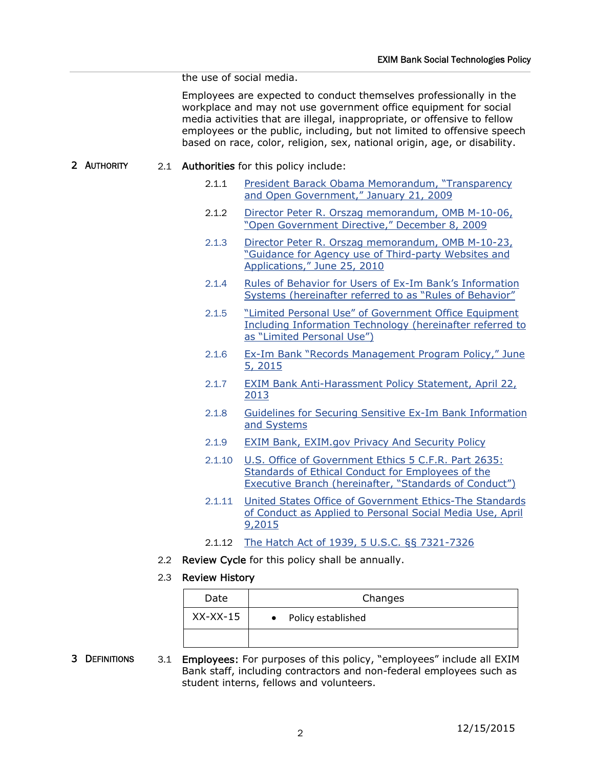the use of social media.

Employees are expected to conduct themselves professionally in the workplace and may not use government office equipment for social media activities that are illegal, inappropriate, or offensive to fellow employees or the public, including, but not limited to offensive speech based on race, color, religion, sex, national origin, age, or disability.

- 2 AUTHORITY 2.1 Authorities for this policy include:
	- 2.1.1 President Barack Obama Memorandum, "Transparency and Open Government," January 21, 2009
	- 2.1.2 Director Peter R. Orszag memorandum, OMB M-10-06, "Open Government Directive," December 8, 2009
	- 2.1.3 Director Peter R. Orszag memorandum, OMB M-10-23, "Guidance for Agency use of Third-party Websites and Applications," June 25, 2010
	- 2.1.4 Rules of Behavior for Users of Ex-Im Bank's Information Systems (hereinafter referred to as "Rules of Behavior"
	- 2.1.5 "Limited Personal Use" of Government Office Equipment Including Information Technology (hereinafter referred to as "Limited Personal Use")
	- 2.1.6 Ex-Im Bank "Records Management Program Policy," June 5, 2015
	- 2.1.7 EXIM Bank Anti-Harassment Policy Statement, April 22, 2013
	- 2.1.8 Guidelines for Securing Sensitive Ex-Im Bank Information and Systems
	- 2.1.9 EXIM Bank, EXIM.gov Privacy And Security Policy
	- 2.1.10 U.S. Office of Government Ethics 5 C.F.R. Part 2635: Standards of Ethical Conduct for Employees of the Executive Branch (hereinafter, "Standards of Conduct")
	- 2.1.11 United States Office of Government Ethics-The Standards of Conduct as Applied to Personal Social Media Use, April 9,2015
	- 2.1.12 The Hatch Act of 1939, 5 U.S.C. §§ 7321-7326
	- 2.2 Review Cycle for this policy shall be annually.

## 2.3 Review History

| Date       | Changes                         |
|------------|---------------------------------|
| $XX-XX-15$ | Policy established<br>$\bullet$ |
|            |                                 |

3 DEFINITIONS 3.1 Employees: For purposes of this policy, "employees" include all EXIM Bank staff, including contractors and non-federal employees such as student interns, fellows and volunteers.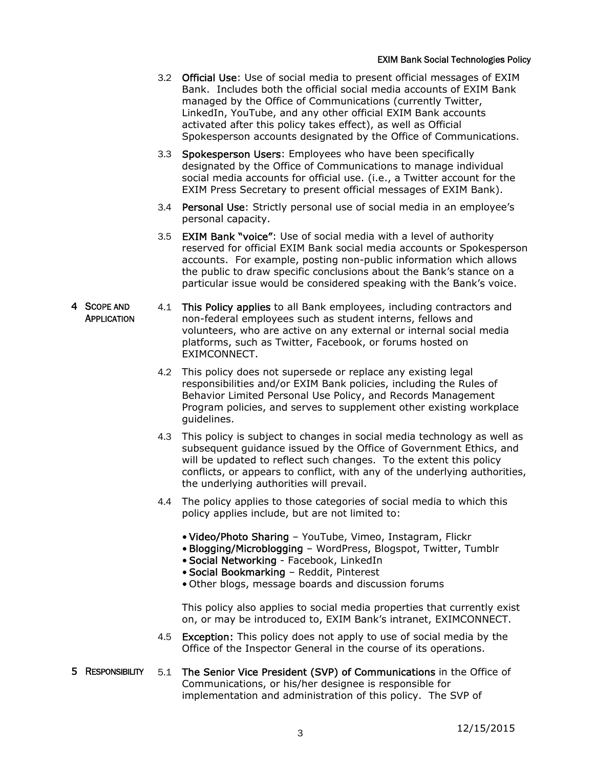- 3.2 Official Use: Use of social media to present official messages of EXIM Bank. Includes both the official social media accounts of EXIM Bank managed by the Office of Communications (currently Twitter, LinkedIn, YouTube, and any other official EXIM Bank accounts activated after this policy takes effect), as well as Official Spokesperson accounts designated by the Office of Communications.
- 3.3 Spokesperson Users: Employees who have been specifically designated by the Office of Communications to manage individual social media accounts for official use. (i.e., a Twitter account for the EXIM Press Secretary to present official messages of EXIM Bank).
- 3.4 Personal Use: Strictly personal use of social media in an employee's personal capacity.
- 3.5 EXIM Bank "voice": Use of social media with a level of authority reserved for official EXIM Bank social media accounts or Spokesperson accounts. For example, posting non-public information which allows the public to draw specific conclusions about the Bank's stance on a particular issue would be considered speaking with the Bank's voice.
- 4 SCOPE AND **APPLICATION** 4.1 This Policy applies to all Bank employees, including contractors and non-federal employees such as student interns, fellows and volunteers, who are active on any external or internal social media platforms, such as Twitter, Facebook, or forums hosted on EXIMCONNECT.
	- 4.2 This policy does not supersede or replace any existing legal responsibilities and/or EXIM Bank policies, including the Rules of Behavior Limited Personal Use Policy, and Records Management Program policies, and serves to supplement other existing workplace guidelines.
	- 4.3 This policy is subject to changes in social media technology as well as subsequent guidance issued by the Office of Government Ethics, and will be updated to reflect such changes. To the extent this policy conflicts, or appears to conflict, with any of the underlying authorities, the underlying authorities will prevail.
	- 4.4 The policy applies to those categories of social media to which this policy applies include, but are not limited to:
		- Video/Photo Sharing YouTube, Vimeo, Instagram, Flickr
		- Blogging/Microblogging WordPress, Blogspot, Twitter, Tumblr
		- Social Networking Facebook, LinkedIn
		- Social Bookmarking Reddit, Pinterest
		- Other blogs, message boards and discussion forums

This policy also applies to social media properties that currently exist on, or may be introduced to, EXIM Bank's intranet, EXIMCONNECT.

- 4.5 **Exception:** This policy does not apply to use of social media by the Office of the Inspector General in the course of its operations.
- 5 RESPONSIBILITY 5.1 The Senior Vice President (SVP) of Communications in the Office of Communications, or his/her designee is responsible for implementation and administration of this policy. The SVP of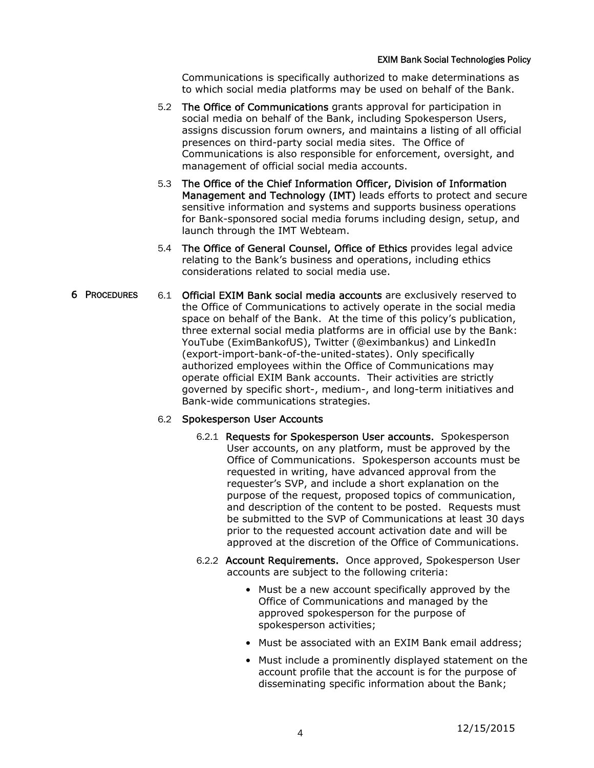Communications is specifically authorized to make determinations as to which social media platforms may be used on behalf of the Bank.

- 5.2 The Office of Communications grants approval for participation in social media on behalf of the Bank, including Spokesperson Users, assigns discussion forum owners, and maintains a listing of all official presences on third-party social media sites. The Office of Communications is also responsible for enforcement, oversight, and management of official social media accounts.
- 5.3 The Office of the Chief Information Officer, Division of Information Management and Technology (IMT) leads efforts to protect and secure sensitive information and systems and supports business operations for Bank-sponsored social media forums including design, setup, and launch through the IMT Webteam.
- 5.4 The Office of General Counsel, Office of Ethics provides legal advice relating to the Bank's business and operations, including ethics considerations related to social media use.
- 6 PROCEDURES 6.1 Official EXIM Bank social media accounts are exclusively reserved to the Office of Communications to actively operate in the social media space on behalf of the Bank. At the time of this policy's publication, three external social media platforms are in official use by the Bank: YouTube (EximBankofUS), Twitter (@eximbankus) and LinkedIn (export-import-bank-of-the-united-states). Only specifically authorized employees within the Office of Communications may operate official EXIM Bank accounts. Their activities are strictly governed by specific short-, medium-, and long-term initiatives and Bank-wide communications strategies.

## 6.2 Spokesperson User Accounts

- 6.2.1 Requests for Spokesperson User accounts. Spokesperson User accounts, on any platform, must be approved by the Office of Communications. Spokesperson accounts must be requested in writing, have advanced approval from the requester's SVP, and include a short explanation on the purpose of the request, proposed topics of communication, and description of the content to be posted. Requests must be submitted to the SVP of Communications at least 30 days prior to the requested account activation date and will be approved at the discretion of the Office of Communications.
- 6.2.2 Account Requirements. Once approved, Spokesperson User accounts are subject to the following criteria:
	- Must be a new account specifically approved by the Office of Communications and managed by the approved spokesperson for the purpose of spokesperson activities;
	- Must be associated with an EXIM Bank email address;
	- Must include a prominently displayed statement on the account profile that the account is for the purpose of disseminating specific information about the Bank;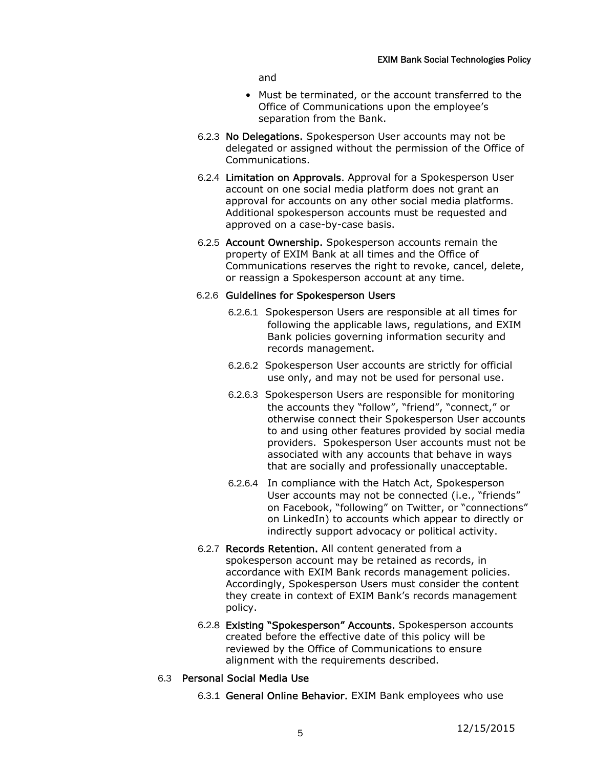and

- Must be terminated, or the account transferred to the Office of Communications upon the employee's separation from the Bank.
- 6.2.3 No Delegations. Spokesperson User accounts may not be delegated or assigned without the permission of the Office of Communications.
- 6.2.4 Limitation on Approvals. Approval for a Spokesperson User account on one social media platform does not grant an approval for accounts on any other social media platforms. Additional spokesperson accounts must be requested and approved on a case-by-case basis.
- 6.2.5 Account Ownership. Spokesperson accounts remain the property of EXIM Bank at all times and the Office of Communications reserves the right to revoke, cancel, delete, or reassign a Spokesperson account at any time.

## 6.2.6 Guidelines for Spokesperson Users

- 6.2.6.1 Spokesperson Users are responsible at all times for following the applicable laws, regulations, and EXIM Bank policies governing information security and records management.
- 6.2.6.2 Spokesperson User accounts are strictly for official use only, and may not be used for personal use.
- 6.2.6.3 Spokesperson Users are responsible for monitoring the accounts they "follow", "friend", "connect," or otherwise connect their Spokesperson User accounts to and using other features provided by social media providers. Spokesperson User accounts must not be associated with any accounts that behave in ways that are socially and professionally unacceptable.
- 6.2.6.4 In compliance with the Hatch Act, Spokesperson User accounts may not be connected (i.e., "friends" on Facebook, "following" on Twitter, or "connections" on LinkedIn) to accounts which appear to directly or indirectly support advocacy or political activity.
- 6.2.7 Records Retention. All content generated from a spokesperson account may be retained as records, in accordance with EXIM Bank records management policies. Accordingly, Spokesperson Users must consider the content they create in context of EXIM Bank's records management policy.
- 6.2.8 Existing "Spokesperson" Accounts. Spokesperson accounts created before the effective date of this policy will be reviewed by the Office of Communications to ensure alignment with the requirements described.
- 6.3 Personal Social Media Use
	- 6.3.1 General Online Behavior. EXIM Bank employees who use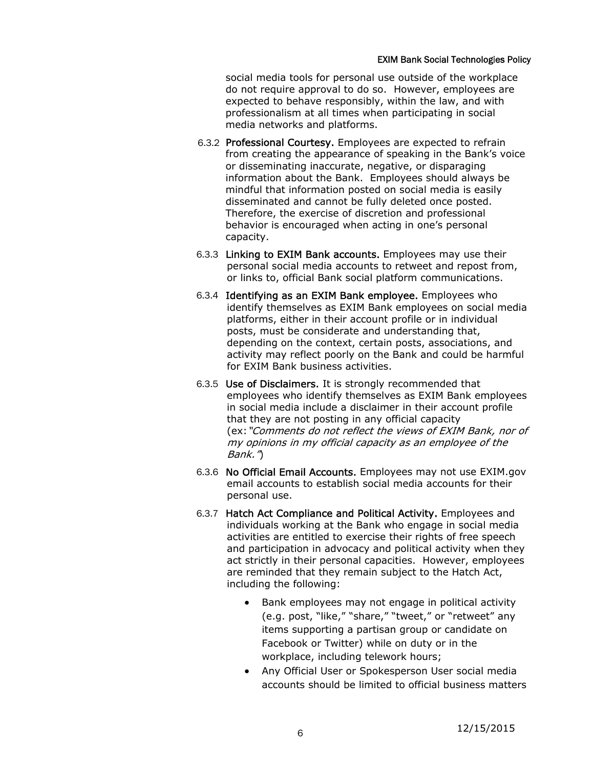social media tools for personal use outside of the workplace do not require approval to do so. However, employees are expected to behave responsibly, within the law, and with professionalism at all times when participating in social media networks and platforms.

- 6.3.2 Professional Courtesy. Employees are expected to refrain from creating the appearance of speaking in the Bank's voice or disseminating inaccurate, negative, or disparaging information about the Bank. Employees should always be mindful that information posted on social media is easily disseminated and cannot be fully deleted once posted. Therefore, the exercise of discretion and professional behavior is encouraged when acting in one's personal capacity.
- 6.3.3 Linking to EXIM Bank accounts. Employees may use their personal social media accounts to retweet and repost from, or links to, official Bank social platform communications.
- 6.3.4 Identifying as an EXIM Bank employee. Employees who identify themselves as EXIM Bank employees on social media platforms, either in their account profile or in individual posts, must be considerate and understanding that, depending on the context, certain posts, associations, and activity may reflect poorly on the Bank and could be harmful for EXIM Bank business activities.
- 6.3.5 Use of Disclaimers. It is strongly recommended that employees who identify themselves as EXIM Bank employees in social media include a disclaimer in their account profile that they are not posting in any official capacity (ex:"Comments do not reflect the views of EXIM Bank, nor of my opinions in my official capacity as an employee of the Bank.")
- 6.3.6 No Official Email Accounts. Employees may not use EXIM.gov email accounts to establish social media accounts for their personal use.
- 6.3.7 Hatch Act Compliance and Political Activity. Employees and individuals working at the Bank who engage in social media activities are entitled to exercise their rights of free speech and participation in advocacy and political activity when they act strictly in their personal capacities. However, employees are reminded that they remain subject to the Hatch Act, including the following:
	- Bank employees may not engage in political activity (e.g. post, "like," "share," "tweet," or "retweet" any items supporting a partisan group or candidate on Facebook or Twitter) while on duty or in the workplace, including telework hours;
	- Any Official User or Spokesperson User social media accounts should be limited to official business matters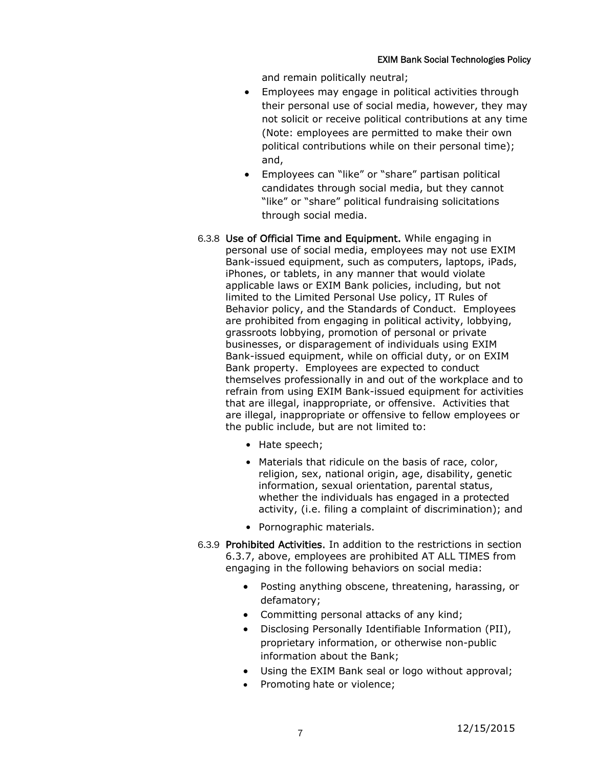and remain politically neutral;

- Employees may engage in political activities through their personal use of social media, however, they may not solicit or receive political contributions at any time (Note: employees are permitted to make their own political contributions while on their personal time); and,
- Employees can "like" or "share" partisan political candidates through social media, but they cannot "like" or "share" political fundraising solicitations through social media.
- 6.3.8 Use of Official Time and Equipment. While engaging in personal use of social media, employees may not use EXIM Bank-issued equipment, such as computers, laptops, iPads, iPhones, or tablets, in any manner that would violate applicable laws or EXIM Bank policies, including, but not limited to the Limited Personal Use policy, IT Rules of Behavior policy, and the Standards of Conduct. Employees are prohibited from engaging in political activity, lobbying, grassroots lobbying, promotion of personal or private businesses, or disparagement of individuals using EXIM Bank-issued equipment, while on official duty, or on EXIM Bank property. Employees are expected to conduct themselves professionally in and out of the workplace and to refrain from using EXIM Bank-issued equipment for activities that are illegal, inappropriate, or offensive. Activities that are illegal, inappropriate or offensive to fellow employees or the public include, but are not limited to:
	- Hate speech;
	- Materials that ridicule on the basis of race, color, religion, sex, national origin, age, disability, genetic information, sexual orientation, parental status, whether the individuals has engaged in a protected activity, (i.e. filing a complaint of discrimination); and
	- Pornographic materials.
- 6.3.9 Prohibited Activities. In addition to the restrictions in section 6.3.7, above, employees are prohibited AT ALL TIMES from engaging in the following behaviors on social media:
	- Posting anything obscene, threatening, harassing, or defamatory;
	- Committing personal attacks of any kind;
	- Disclosing Personally Identifiable Information (PII), proprietary information, or otherwise non-public information about the Bank;
	- Using the EXIM Bank seal or logo without approval;
	- Promoting hate or violence;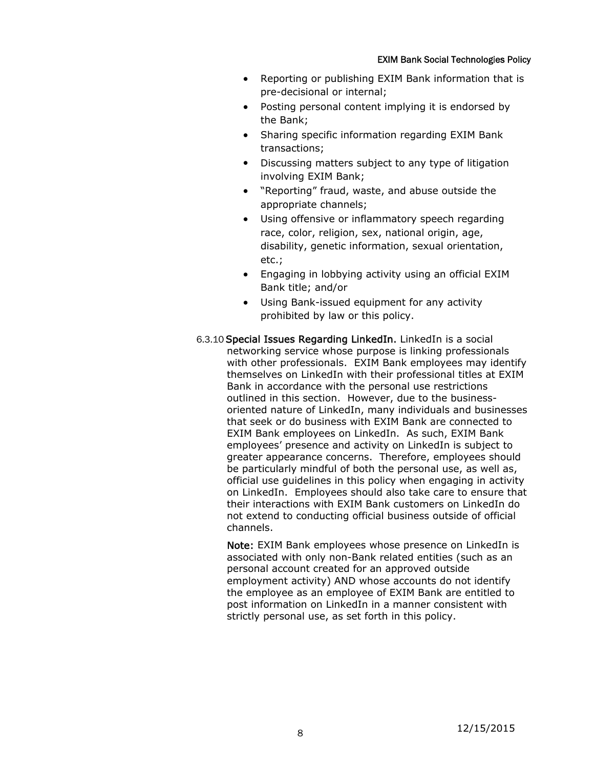- Reporting or publishing EXIM Bank information that is pre-decisional or internal;
- Posting personal content implying it is endorsed by the Bank;
- Sharing specific information regarding EXIM Bank transactions;
- Discussing matters subject to any type of litigation involving EXIM Bank;
- "Reporting" fraud, waste, and abuse outside the appropriate channels;
- Using offensive or inflammatory speech regarding race, color, religion, sex, national origin, age, disability, genetic information, sexual orientation, etc.;
- Engaging in lobbying activity using an official EXIM Bank title; and/or
- Using Bank-issued equipment for any activity prohibited by law or this policy.
- 6.3.10Special Issues Regarding LinkedIn. LinkedIn is a social networking service whose purpose is linking professionals with other professionals. EXIM Bank employees may identify themselves on LinkedIn with their professional titles at EXIM Bank in accordance with the personal use restrictions outlined in this section. However, due to the businessoriented nature of LinkedIn, many individuals and businesses that seek or do business with EXIM Bank are connected to EXIM Bank employees on LinkedIn. As such, EXIM Bank employees' presence and activity on LinkedIn is subject to greater appearance concerns. Therefore, employees should be particularly mindful of both the personal use, as well as, official use guidelines in this policy when engaging in activity on LinkedIn. Employees should also take care to ensure that their interactions with EXIM Bank customers on LinkedIn do not extend to conducting official business outside of official channels.

Note: EXIM Bank employees whose presence on LinkedIn is associated with only non-Bank related entities (such as an personal account created for an approved outside employment activity) AND whose accounts do not identify the employee as an employee of EXIM Bank are entitled to post information on LinkedIn in a manner consistent with strictly personal use, as set forth in this policy.